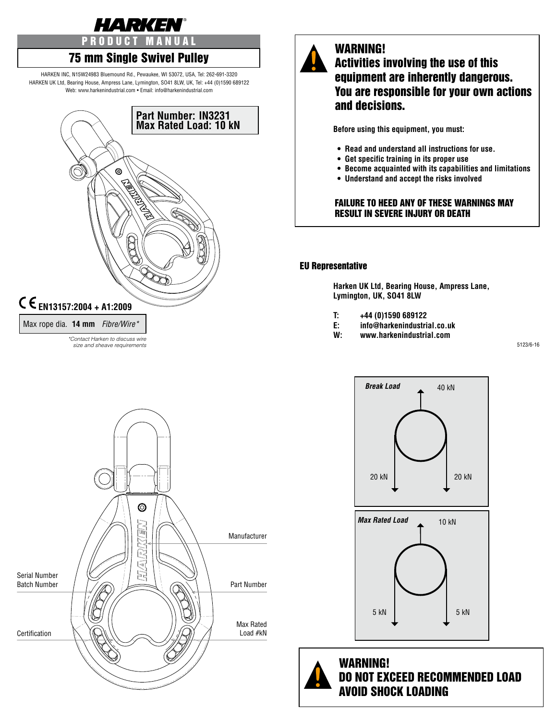

# 75 mm Single Swivel Pulley

HARKEN INC, N15W24983 Bluemound Rd., Pewaukee, WI 53072, USA, Tel: 262-691-3320 HARKEN UK Ltd, Bearing House, Ampress Lane, Lymington, SO41 8LW, UK, Tel: +44 (0)1590 689122 Web: www.harkenindustrial.com • Email: info@harkenindustrial.com



*size and sheave requirements*

#### WARNING! Activities involving the use of this equipment are inherently dangerous. You are responsible for your own actions and decisions.

**Before using this equipment, you must:**

- **Read and understand all instructions for use.**
- **Get specific training in its proper use**
- **Become acquainted with its capabilities and limitations**
- **Understand and accept the risks involved**

#### FAILURE TO HEED ANY OF THESE WARNINGS MAY RESULT IN SEVERE INJURY OR DEATH

#### EU Representative

**Harken UK Ltd, Bearing House, Ampress Lane, Lymington, UK, SO41 8LW**

- **T: +44 (0)1590 689122**
- **E: info@harkenindustrial.co.uk**
- **W: www.harkenindustrial.com**

5123/6-16







WARNING! DO NOT EXCEED RECOMMENDED LOAD AVOID SHOCK LOADING